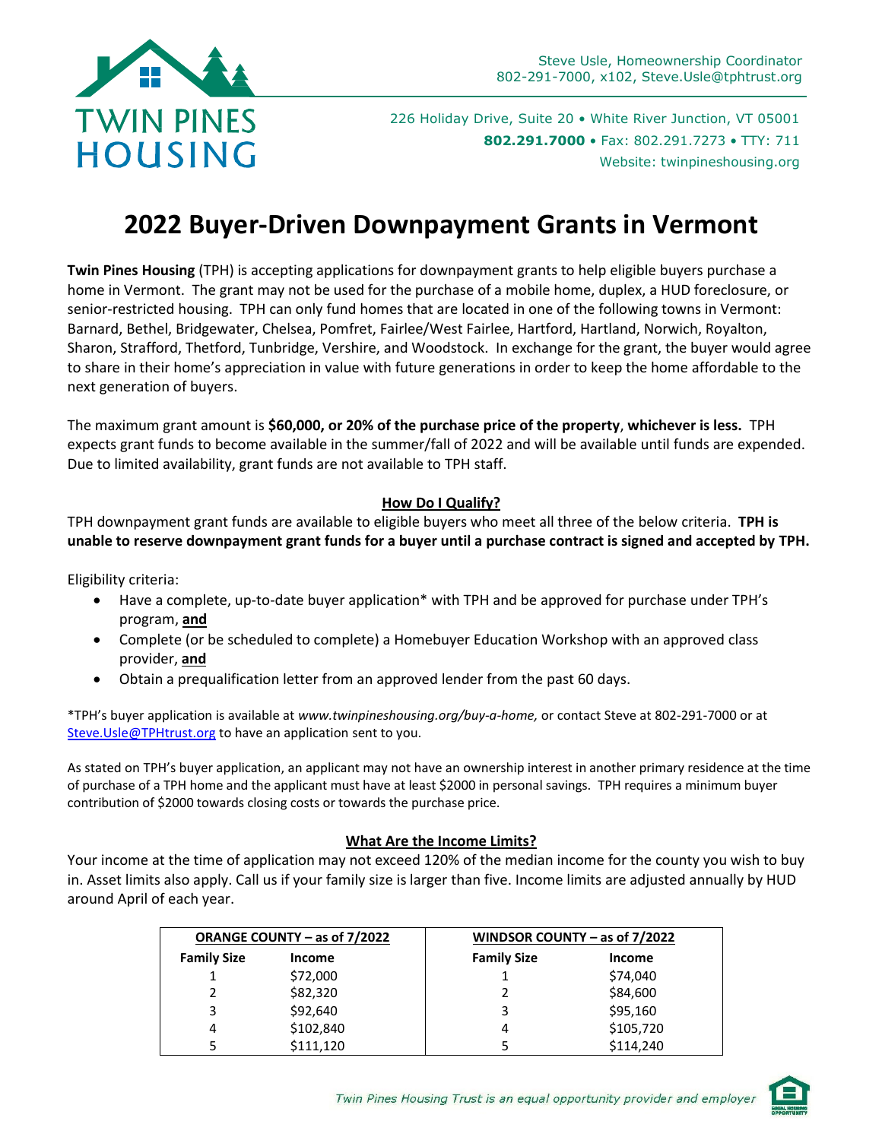

226 Holiday Drive, Suite 20 • White River Junction, VT 05001 **802.291.7000** • Fax: 802.291.7273 • TTY: 711 Website: twinpineshousing.org

# **2022 Buyer-Driven Downpayment Grants in Vermont**

**Twin Pines Housing** (TPH) is accepting applications for downpayment grants to help eligible buyers purchase a home in Vermont. The grant may not be used for the purchase of a mobile home, duplex, a HUD foreclosure, or senior-restricted housing. TPH can only fund homes that are located in one of the following towns in Vermont: Barnard, Bethel, Bridgewater, Chelsea, Pomfret, Fairlee/West Fairlee, Hartford, Hartland, Norwich, Royalton, Sharon, Strafford, Thetford, Tunbridge, Vershire, and Woodstock. In exchange for the grant, the buyer would agree to share in their home's appreciation in value with future generations in order to keep the home affordable to the next generation of buyers.

The maximum grant amount is **\$60,000, or 20% of the purchase price of the property**, **whichever is less.** TPH expects grant funds to become available in the summer/fall of 2022 and will be available until funds are expended. Due to limited availability, grant funds are not available to TPH staff.

#### **How Do I Qualify?**

TPH downpayment grant funds are available to eligible buyers who meet all three of the below criteria. **TPH is unable to reserve downpayment grant funds for a buyer until a purchase contract is signed and accepted by TPH.** 

Eligibility criteria:

- Have a complete, up-to-date buyer application\* with TPH and be approved for purchase under TPH's program, **and**
- Complete (or be scheduled to complete) a Homebuyer Education Workshop with an approved class provider, **and**
- Obtain a prequalification letter from an approved lender from the past 60 days.

\*TPH's buyer application is available at *www.twinpineshousing.org/buy-a-home,* or contact Steve at 802-291-7000 or at Steve. Usle@TPHtrust.org to have an application sent to you.

As stated on TPH's buyer application, an applicant may not have an ownership interest in another primary residence at the time of purchase of a TPH home and the applicant must have at least \$2000 in personal savings. TPH requires a minimum buyer contribution of \$2000 towards closing costs or towards the purchase price.

#### **What Are the Income Limits?**

Your income at the time of application may not exceed 120% of the median income for the county you wish to buy in. Asset limits also apply. Call us if your family size is larger than five. Income limits are adjusted annually by HUD around April of each year.

| ORANGE COUNTY – as of 7/2022 |               | WINDSOR COUNTY – as of $7/2022$ |               |
|------------------------------|---------------|---------------------------------|---------------|
| <b>Family Size</b>           | <b>Income</b> | <b>Family Size</b>              | <b>Income</b> |
|                              | \$72,000      |                                 | \$74,040      |
|                              | \$82,320      |                                 | \$84,600      |
| 3                            | \$92,640      |                                 | \$95,160      |
| 4                            | \$102,840     | 4                               | \$105,720     |
|                              | \$111.120     |                                 | \$114,240     |